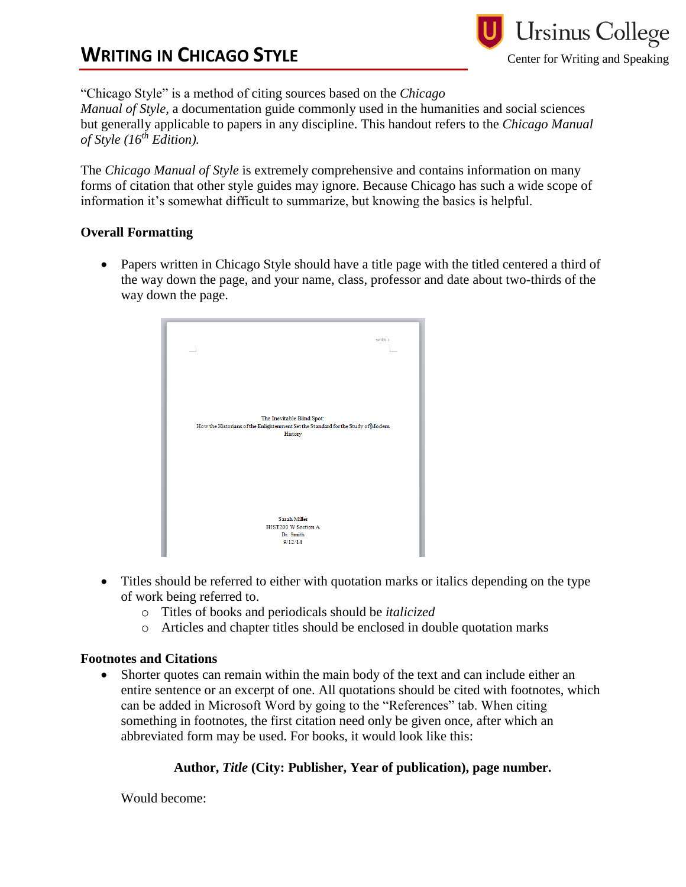# **WRITING IN CHICAGO STYLE**



"Chicago Style" is a method of citing sources based on the *Chicago* 

*Manual of Style,* a documentation guide commonly used in the humanities and social sciences but generally applicable to papers in any discipline. This handout refers to the *Chicago Manual of Style (16th Edition).* 

The *Chicago Manual of Style* is extremely comprehensive and contains information on many forms of citation that other style guides may ignore. Because Chicago has such a wide scope of information it's somewhat difficult to summarize, but knowing the basics is helpful.

### **Overall Formatting**

• Papers written in Chicago Style should have a title page with the titled centered a third of the way down the page, and your name, class, professor and date about two-thirds of the way down the page.

| Smith 1                                                                                                                  |  |
|--------------------------------------------------------------------------------------------------------------------------|--|
| The Inevitable Blind Spot:<br>How the Historians of the Enlightenment Set the Standard for the Study of Modem<br>History |  |
| <b>Sarah Miller</b><br>HIST200 W Section A<br>Dr. Smith<br>9/12/14                                                       |  |

- Titles should be referred to either with quotation marks or italics depending on the type of work being referred to.
	- o Titles of books and periodicals should be *italicized*
	- o Articles and chapter titles should be enclosed in double quotation marks

## **Footnotes and Citations**

 Shorter quotes can remain within the main body of the text and can include either an entire sentence or an excerpt of one. All quotations should be cited with footnotes, which can be added in Microsoft Word by going to the "References" tab. When citing something in footnotes, the first citation need only be given once, after which an abbreviated form may be used. For books, it would look like this:

## **Author,** *Title* **(City: Publisher, Year of publication), page number.**

Would become: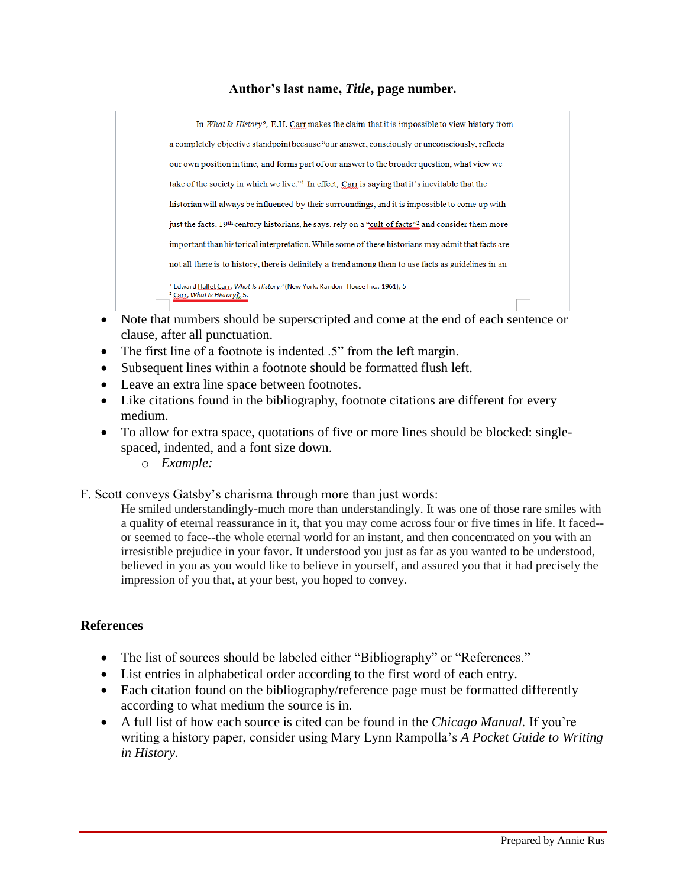#### **Author's last name,** *Title***, page number.**

In What Is History?, E.H. Carr makes the claim that it is impossible to view history from a completely objective standpoint because "our answer, consciously or unconsciously, reflects our own position in time, and forms part of our answer to the broader question, what view we take of the society in which we live."<sup>1</sup> In effect, Carr is saying that it's inevitable that the historian will always be influenced by their surroundings, and it is impossible to come up with just the facts. 19th century historians, he says, rely on a "cult of facts"<sup>2</sup> and consider them more important than historical interpretation. While some of these historians may admit that facts are not all there is to history, there is definitely a trend among them to use facts as guidelines in an <sup>1</sup> Edward Hallet Carr, What Is History? (New York: Random House Inc., 1961), 5 <sup>2</sup> Carr, What Is History?, 5.

- Note that numbers should be superscripted and come at the end of each sentence or clause, after all punctuation.
- The first line of a footnote is indented .5" from the left margin.
- Subsequent lines within a footnote should be formatted flush left.
- Leave an extra line space between footnotes.
- Like citations found in the bibliography, footnote citations are different for every medium.
- To allow for extra space, quotations of five or more lines should be blocked: singlespaced, indented, and a font size down.
	- o *Example:*
- F. Scott conveys Gatsby's charisma through more than just words:

He smiled understandingly-much more than understandingly. It was one of those rare smiles with a quality of eternal reassurance in it, that you may come across four or five times in life. It faced- or seemed to face--the whole eternal world for an instant, and then concentrated on you with an irresistible prejudice in your favor. It understood you just as far as you wanted to be understood, believed in you as you would like to believe in yourself, and assured you that it had precisely the impression of you that, at your best, you hoped to convey.

#### **References**

- The list of sources should be labeled either "Bibliography" or "References."
- List entries in alphabetical order according to the first word of each entry.
- Each citation found on the bibliography/reference page must be formatted differently according to what medium the source is in.
- A full list of how each source is cited can be found in the *Chicago Manual.* If you're writing a history paper, consider using Mary Lynn Rampolla's *A Pocket Guide to Writing in History.*